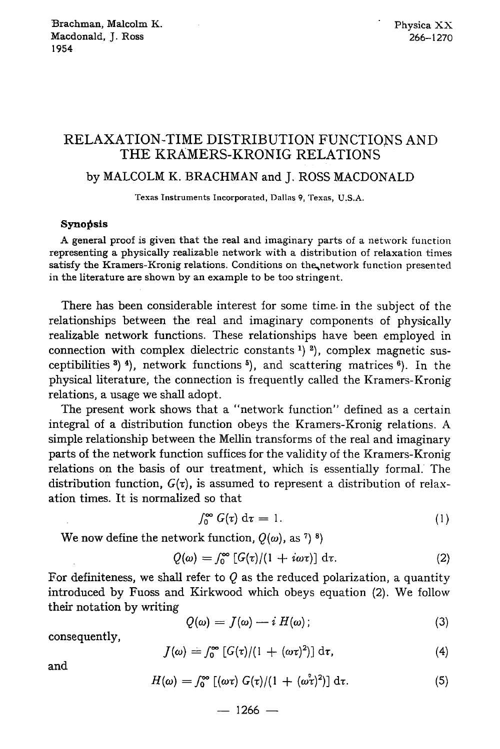## **RELAXATION-TIME DISTRIBUTION FUNCTIONS AND THE KRAMERS-KRONIG RELATIONS**

## by MALCOLM K. BRACHMAN and J. ROSS MACDONALD

Texas Instruments Incorporated, Dallas 9, Texas, U.S.A.

## Synopsis

A general proof is given that the real and imaginary parts of a network function representing a physically realizable network with a distribution of relaxation times satisfy the Kramers-Kronig relations. Conditions on the network function presented in the literature are shown by an example to be too stringent.

There has been considerable interest for some time. in the subject of the relationships between the real and imaginary components of physically realizable network functions. These relationships have been employed in connection with complex dielectric constants  $(1)$   $(2)$ , complex magnetic susceptibilities  $(3)$   $(4)$ , network functions  $(5)$ , and scattering matrices  $(6)$ . In the physical literature, the connection is frequently called the Kramers-Kronig relations, a usage we shall adopt.

The present work shows that a "network function" defined as a certain integral of a distribution function obeys the Kramers-Kronig relations. A simple relationship between the Mellin transforms of the real and imaginary parts of the network function suffices for the validity of the Kramers-Kronig relations on the basis of our treatment, which is essentially formal. The distribution function,  $G(\tau)$ , is assumed to represent a distribution of relaxation times. It is normalized so that

$$
\int_0^\infty G(\tau) \, \mathrm{d}\tau = 1. \tag{1}
$$

We now define the network function,  $Q(\omega)$ , as <sup>7</sup>) <sup>8</sup>)

$$
Q(\omega) = \int_0^\infty \left[ G(\tau)/(1 + i\omega \tau) \right] d\tau. \tag{2}
$$

For definiteness, we shall refer to  $Q$  as the reduced polarization, a quantity introduced by Fuoss and Kirkwood which obeys equation (2). We follow their notation by writing

$$
Q(\omega) = J(\omega) - i H(\omega); \tag{3}
$$

consequently,

$$
J(\omega) = \int_0^\infty \left[ G(\tau)/(1 + (\omega \tau)^2) \right] d\tau, \tag{4}
$$

and

$$
H(\omega) = \int_0^\infty \left[ (\omega \tau) G(\tau) / (1 + (\omega^2 \tau)^2) \right] d\tau.
$$
 (5)

 $-$  1266  $-$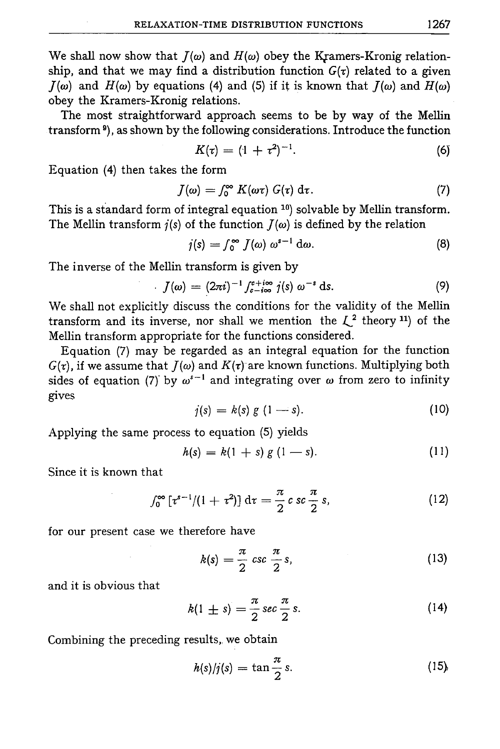We shall now show that  $I(\omega)$  and  $H(\omega)$  obey the Kramers-Kronig relationship, and that we may find a distribution function  $G(\tau)$  related to a given  $J(\omega)$  and  $H(\omega)$  by equations (4) and (5) if it is known that  $J(\omega)$  and  $H(\omega)$ obey the Kramers-Kronig relations.

The most straightforward approach seems to be by way of the Mellin transform 9), as shown by the following considerations. Introduce the function

$$
K(\tau) = (1 + \tau^2)^{-1}.
$$
 (6)

Equation (4) then takes the form

$$
J(\omega) = \int_0^\infty K(\omega \tau) G(\tau) d\tau.
$$
 (7)

This is a standard form of integral equation  $10$ ) solvable by Mellin transform. The Mellin transform  $j(s)$  of the function  $J(\omega)$  is defined by the relation

$$
j(s) = \int_0^\infty J(\omega) \ \omega^{s-1} \ \mathrm{d}\omega. \tag{8}
$$

The inverse of the Mellin transform is given by

$$
J(\omega) = (2\pi i)^{-1} \int_{c-i\infty}^{c+i\infty} j(s) \omega^{-s} \, \mathrm{d}s. \tag{9}
$$

We shall not explicitly discuss the conditions for the validity of the Mellin transform and its inverse, nor shall we mention the  $\mathcal{L}^2$  theory <sup>11</sup>) of the Mellin transform appropriate for the functions considered.

Equation (7) may be regarded as an integral equation for the function  $G(\tau)$ , if we assume that  $J(\omega)$  and  $K(\tau)$  are known functions. Multiplying both sides of equation (7) by  $\omega^{s-1}$  and integrating over  $\omega$  from zero to infinity gives

$$
j(s) = k(s) g (1-s). \tag{10}
$$

Applying the same process to equation (5) yields

$$
h(s) = k(1 + s) g (1 - s).
$$
 (11)

Since it is known that

$$
\int_0^\infty \left[ \tau^{s-1}/(1+\tau^2) \right] \, \mathrm{d}\tau = \frac{\pi}{2} \, c \, sc \, \frac{\pi}{2} \, s, \tag{12}
$$

for our present case we therefore have

$$
k(s) = \frac{\pi}{2} \csc \frac{\pi}{2} s, \qquad (13)
$$

and it is obvious that

$$
k(1 \pm s) = \frac{\pi}{2} \sec \frac{\pi}{2} s. \tag{14}
$$

Combining the preceding results,, we obtain

$$
h(s)/j(s) = \tan\frac{\pi}{2} s. \tag{15}
$$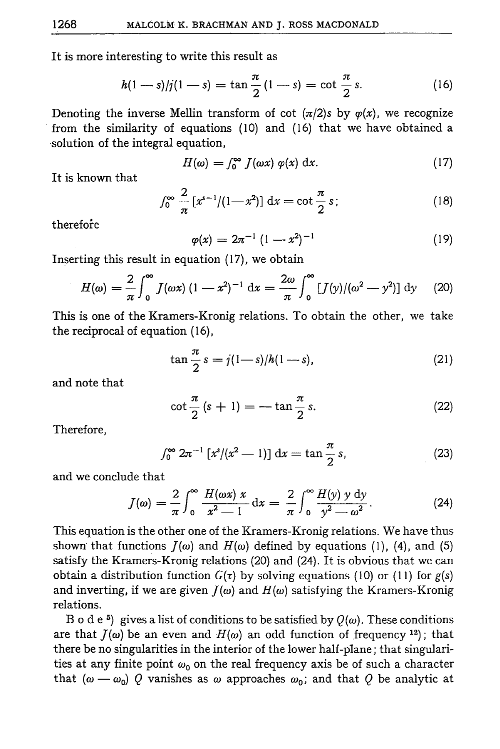It is more interesting to write this result as

$$
h(1-s)/j(1-s) = \tan\frac{\pi}{2}(1-s) = \cot\frac{\pi}{2}s.
$$
 (16)

Denoting the inverse Mellin transform of cot  $(\pi/2)$ s by  $\varphi(x)$ , we recognize from the similarity of equations  $(10)$  and  $(16)$  that we have obtained a solution of the integral equation,

$$
H(\omega) = \int_0^\infty f(\omega x) \varphi(x) \, \mathrm{d}x. \tag{17}
$$

It is known that

$$
\int_0^\infty \frac{2}{\pi} \left[ x^{s-1} / (1 - x^2) \right] \, \mathrm{d}x = \cot \frac{\pi}{2} \, s \, ; \tag{18}
$$

therefore

$$
\varphi(x) = 2\pi^{-1} (1 - x^2)^{-1}
$$
 (19)

Inserting this result in equation  $(17)$ , we obtain

$$
H(\omega) = \frac{2}{\pi} \int_0^{\infty} J(\omega x) (1 - x^2)^{-1} dx = \frac{2\omega}{\pi} \int_0^{\infty} [J(y)/(\omega^2 - y^2)] dy \quad (20)
$$

This is one of the Kramers-Kronig relations. To obtain the other, we take the reciprocal of equation (16),

$$
\tan\frac{\pi}{2}s = j(1-s)/h(1-s),
$$
 (21)

and note that

$$
\cot\frac{\pi}{2}\left(s+1\right)=-\tan\frac{\pi}{2}s.\tag{22}
$$

Therefore,

$$
\int_0^\infty 2\pi^{-1} \left[ x^s / (x^2 - 1) \right] dx = \tan \frac{\pi}{2} s, \tag{23}
$$

and we conclude that

$$
J(\omega) = \frac{2}{\pi} \int_0^\infty \frac{H(\omega x) x}{x^2 - 1} dx = \frac{2}{\pi} \int_0^\infty \frac{H(y) y dy}{y^2 - \omega^2}.
$$
 (24)

This equation is the other one of the Kramers-Kronig relations. We have thus shown that functions  $J(\omega)$  and  $H(\omega)$  defined by equations (1), (4), and (5) satisfy the Kramers-Kronig relations (20) and (24). It is obvious that we can obtain a distribution function  $G(\tau)$  by solving equations (10) or (11) for  $g(s)$ and inverting, if we are given  $J(\omega)$  and  $H(\omega)$  satisfying the Kramers-Kronig relations.

B o d e <sup>5</sup>) gives a list of conditions to be satisfied by  $Q(\omega)$ . These conditions are that  $J(\omega)$  be an even and  $H(\omega)$  an odd function of frequency <sup>12</sup>); that there be no singularities in the interior of the lower half-plane; that singularities at any finite point  $\omega_0$  on the real frequency axis be of such a character that  $(\omega - \omega_0)$  Q vanishes as  $\omega$  approaches  $\omega_0$ ; and that Q be analytic at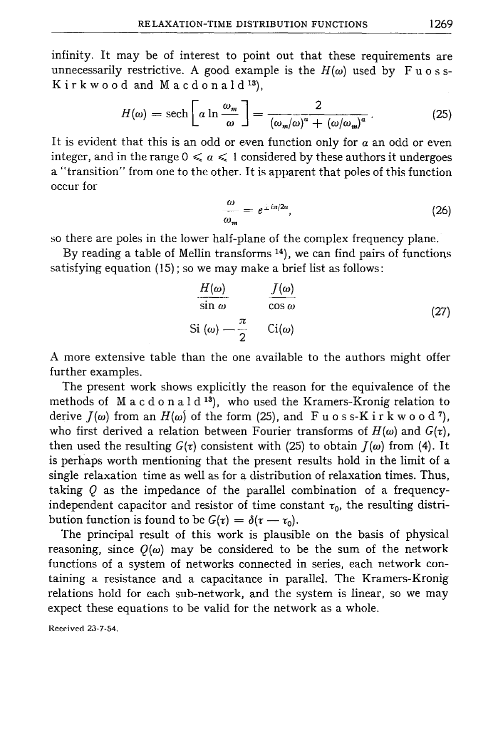infinity. It may be of interest to point out that these requirements are unnecessarily restrictive. A good example is the  $H(\omega)$  used by F u o s s- $K$ irkwood and Macdonald<sup>13</sup>).

$$
H(\omega) = \operatorname{sech}\left[\alpha \ln \frac{\omega_m}{\omega}\right] = \frac{2}{(\omega_m/\omega)^a + (\omega/\omega_m)^a}.
$$
 (25)

It is evident that this is an odd or even function only for  $\alpha$  an odd or even integer, and in the range  $0 \le a \le 1$  considered by these authors it undergoes a "transition" from one to the other. It is apparent that poles of this function occur for

$$
\frac{\omega}{\omega_m} = e^{\pm i\pi/2a},\tag{26}
$$

so there are poles in the lower half-plane of the complex frequency plane.

By reading a table of Mellin transforms <sup>14</sup>), we can find pairs of functions satisfying equation (15) ; so we may make a brief list as follows :

$$
\frac{H(\omega)}{\sin \omega} \qquad \frac{J(\omega)}{\cos \omega}
$$
\n
$$
\text{Si } (\omega) \longrightarrow \frac{\pi}{2} \qquad \text{Ci}(\omega) \tag{27}
$$

A more extensive table than the one available to the authors might offer further examples.

The present work shows explicitly the reason for the equivalence of the methods of  $M$  a c d o n a  $1 d^{13}$ , who used the Kramers-Kronig relation to derive  $J(\omega)$  from an  $H(\omega)$  of the form (25), and F u o s s-K i r k w o o d 7), who first derived a relation between Fourier transforms of  $H(\omega)$  and  $G(\tau)$ , then used the resulting  $G(\tau)$  consistent with (25) to obtain  $J(\omega)$  from (4). It is perhaps worth mentioning that the present results hold in the limit of a single relaxation time as well as for a distribution of relaxation times. Thus, taking  $Q$  as the impedance of the parallel combination of a frequencyindependent capacitor and resistor of time constant  $\tau_0$ , the resulting distribution function is found to be  $G(\tau) = \delta(\tau - \tau_0)$ .

The principal result of this work is plausible on the basis of physical reasoning, since  $Q(\omega)$  may be considered to be the sum of the network functions of a system of networks connected in series, each network containing a resistance and a capacitance in parallel. The Kramers-Kronig relations hold for each sub-network, and the system is linear, so we may expect these equations to be valid for the network as a whole.

Received 23-7-54.